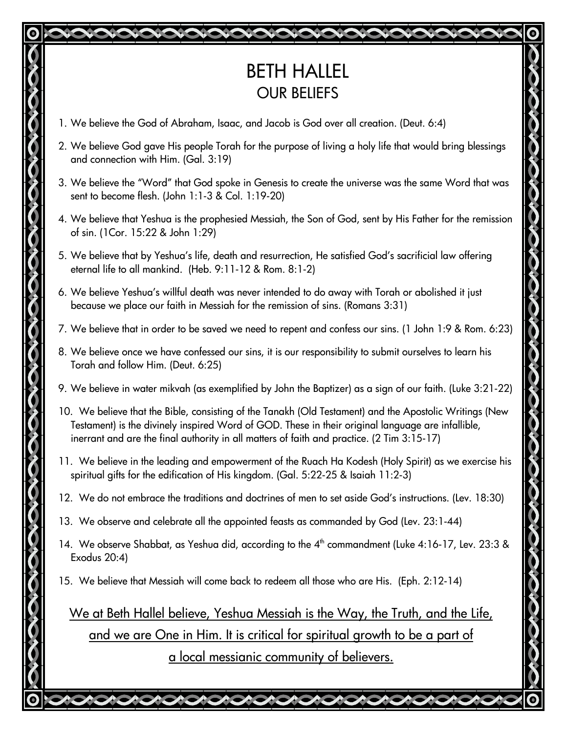## BETH HALLEL OUR BELIEFS

- 1. We believe the God of Abraham, Isaac, and Jacob is God over all creation. (Deut. 6:4)
- 2. We believe God gave His people Torah for the purpose of living a holy life that would bring blessings and connection with Him. (Gal. 3:19)
- 3. We believe the "Word" that God spoke in Genesis to create the universe was the same Word that was sent to become flesh. (John 1:1-3 & Col. 1:19-20)
- 4. We believe that Yeshua is the prophesied Messiah, the Son of God, sent by His Father for the remission of sin. (1Cor. 15:22 & John 1:29)
- 5. We believe that by Yeshua's life, death and resurrection, He satisfied God's sacrificial law offering eternal life to all mankind. (Heb. 9:11-12 & Rom. 8:1-2)
- 6. We believe Yeshua's willful death was never intended to do away with Torah or abolished it just because we place our faith in Messiah for the remission of sins. (Romans 3:31)
- 7. We believe that in order to be saved we need to repent and confess our sins. (1 John 1:9 & Rom. 6:23)
- 8. We believe once we have confessed our sins, it is our responsibility to submit ourselves to learn his Torah and follow Him. (Deut. 6:25)
- 9. We believe in water mikvah (as exemplified by John the Baptizer) as a sign of our faith. (Luke 3:21-22)
- 10. We believe that the Bible, consisting of the Tanakh (Old Testament) and the Apostolic Writings (New Testament) is the divinely inspired Word of GOD. These in their original language are infallible, inerrant and are the final authority in all matters of faith and practice. (2 Tim 3:15-17)
- 11. We believe in the leading and empowerment of the Ruach Ha Kodesh (Holy Spirit) as we exercise his spiritual gifts for the edification of His kingdom. (Gal. 5:22-25 & Isaiah 11:2-3)
- 12. We do not embrace the traditions and doctrines of men to set aside God's instructions. (Lev. 18:30)
- 13. We observe and celebrate all the appointed feasts as commanded by God (Lev. 23:1-44)
- 14. We observe Shabbat, as Yeshua did, according to the 4<sup>th</sup> commandment (Luke 4:16-17, Lev. 23:3 & Exodus 20:4)
- 15. We believe that Messiah will come back to redeem all those who are His. (Eph. 2:12-14)

We at Beth Hallel believe, Yeshua Messiah is the Way, the Truth, and the Life, and we are One in Him. It is critical for spiritual growth to be a part of a local messianic community of believers.